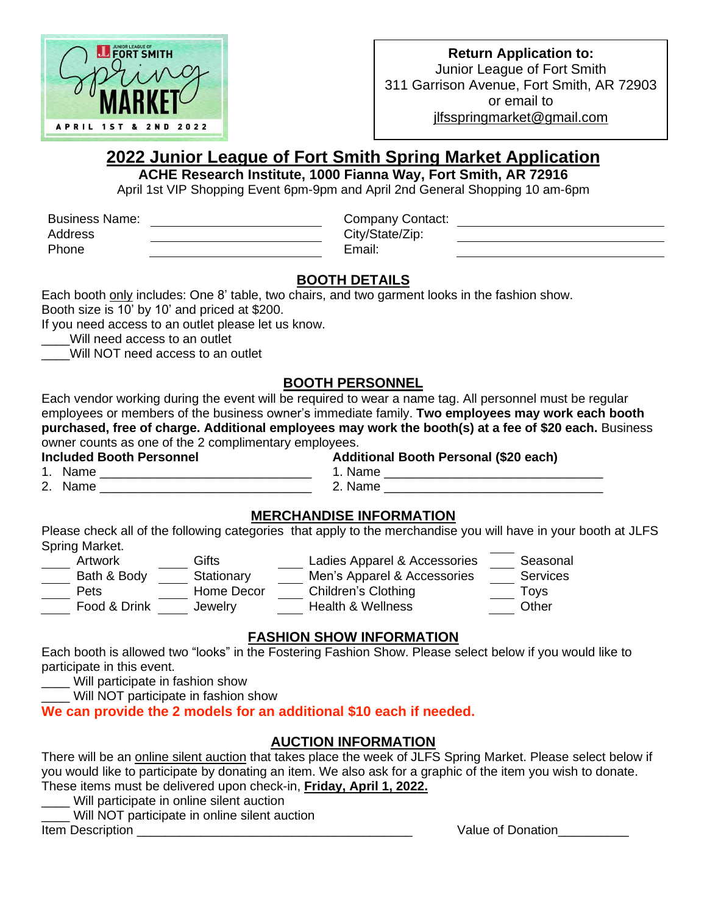

#### **Return Application to:** Junior League of Fort Smith 311 Garrison Avenue, Fort Smith, AR 72903 or email to [jlfsspringmarket@gmail.com](mailto:jlfsspringmarket@gmail.com)

# **2022 Junior League of Fort Smith Spring Market Application**

**ACHE Research Institute, 1000 Fianna Way, Fort Smith, AR 72916**

April 1st VIP Shopping Event 6pm-9pm and April 2nd General Shopping 10 am-6pm

Business Name: Company Contact:

Address City/State/Zip: Phone **Email:** 

# **BOOTH DETAILS**

Each booth only includes: One 8' table, two chairs, and two garment looks in the fashion show. Booth size is 10' by 10' and priced at \$200.

If you need access to an outlet please let us know.

Will need access to an outlet

Will NOT need access to an outlet

# **BOOTH PERSONNEL**

Each vendor working during the event will be required to wear a name tag. All personnel must be regular employees or members of the business owner's immediate family. **Two employees may work each booth purchased, free of charge. Additional employees may work the booth(s) at a fee of \$20 each.** Business owner counts as one of the 2 complimentary employees.

**Included Booth Personnel Additional Booth Personal (\$20 each)**

1. Name \_\_\_\_\_\_\_\_\_\_\_\_\_\_\_\_\_\_\_\_\_\_\_\_\_\_\_\_\_\_ 1. Name \_\_\_\_\_\_\_\_\_\_\_\_\_\_\_\_\_\_\_\_\_\_\_\_\_\_\_\_\_\_\_

2. Name \_\_\_\_\_\_\_\_\_\_\_\_\_\_\_\_\_\_\_\_\_\_\_\_\_\_\_\_\_\_ 2. Name \_\_\_\_\_\_\_\_\_\_\_\_\_\_\_\_\_\_\_\_\_\_\_\_\_\_\_\_\_\_\_

# **MERCHANDISE INFORMATION**

Please check all of the following categories that apply to the merchandise you will have in your booth at JLFS Spring Market.

| Artwork      | Gifts      | Ladies Apparel & Accessories | Seasonal |
|--------------|------------|------------------------------|----------|
| Bath & Body  | Stationary | Men's Apparel & Accessories  | Services |
| <b>Pets</b>  | Home Decor | Children's Clothing          | Tovs     |
| Food & Drink | Jewelry    | <b>Health &amp; Wellness</b> | Other    |

# **FASHION SHOW INFORMATION**

Each booth is allowed two "looks" in the Fostering Fashion Show. Please select below if you would like to participate in this event.

\_\_\_\_ Will participate in fashion show

Will NOT participate in fashion show

**We can provide the 2 models for an additional \$10 each if needed.** 

# **AUCTION INFORMATION**

There will be an online silent auction that takes place the week of JLFS Spring Market. Please select below if you would like to participate by donating an item. We also ask for a graphic of the item you wish to donate. These items must be delivered upon check-in, **Friday, April 1, 2022.**

\_\_\_\_ Will participate in online silent auction

Will NOT participate in online silent auction

Item Description \_\_\_\_\_\_\_\_\_\_\_\_\_\_\_\_\_\_\_\_\_\_\_\_\_\_\_\_\_\_\_\_\_\_\_\_\_\_\_ Value of Donation\_\_\_\_\_\_\_\_\_\_